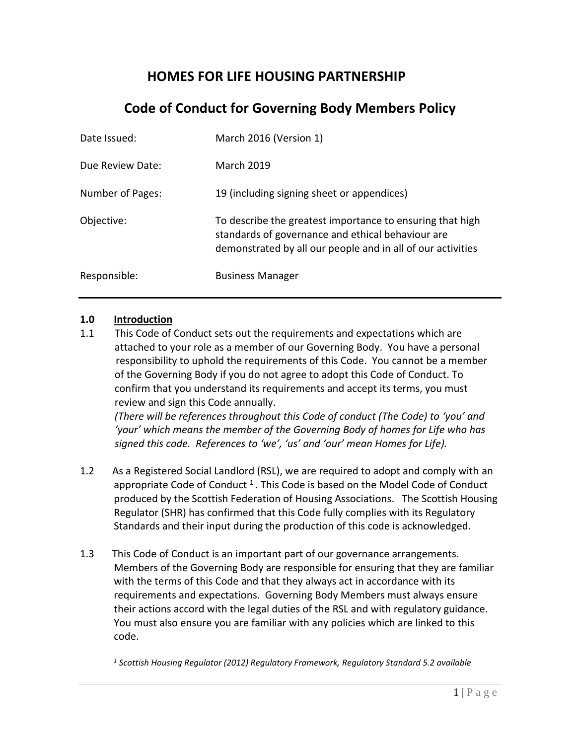# **HOMES FOR LIFE HOUSING PARTNERSHIP**

# **Code of Conduct for Governing Body Members Policy**

| Date Issued:     | March 2016 (Version 1)                                                                                                                                                        |
|------------------|-------------------------------------------------------------------------------------------------------------------------------------------------------------------------------|
| Due Review Date: | <b>March 2019</b>                                                                                                                                                             |
| Number of Pages: | 19 (including signing sheet or appendices)                                                                                                                                    |
| Objective:       | To describe the greatest importance to ensuring that high<br>standards of governance and ethical behaviour are<br>demonstrated by all our people and in all of our activities |
| Responsible:     | <b>Business Manager</b>                                                                                                                                                       |

#### **1.0 Introduction**

1.1 This Code of Conduct sets out the requirements and expectations which are attached to your role as a member of our Governing Body. You have a personal responsibility to uphold the requirements of this Code. You cannot be a member of the Governing Body if you do not agree to adopt this Code of Conduct. To confirm that you understand its requirements and accept its terms, you must review and sign this Code annually.

*(There will be references throughout this Code of conduct (The Code) to 'you' and 'your' which means the member of the Governing Body of homes for Life who has signed this code. References to 'we', 'us' and 'our' mean Homes for Life).*

- 1.2 As a Registered Social Landlord (RSL), we are required to adopt and comply with an appropriate Code of Conduct  $1$ . This Code is based on the Model Code of Conduct produced by the Scottish Federation of Housing Associations. The Scottish Housing Regulator (SHR) has confirmed that this Code fully complies with its Regulatory Standards and their input during the production of this code is acknowledged.
- 1.3 This Code of Conduct is an important part of our governance arrangements. Members of the Governing Body are responsible for ensuring that they are familiar with the terms of this Code and that they always act in accordance with its requirements and expectations. Governing Body Members must always ensure their actions accord with the legal duties of the RSL and with regulatory guidance. You must also ensure you are familiar with any policies which are linked to this code.

*1 Scottish Housing Regulator (2012) Regulatory Framework, Regulatory Standard 5.2 available*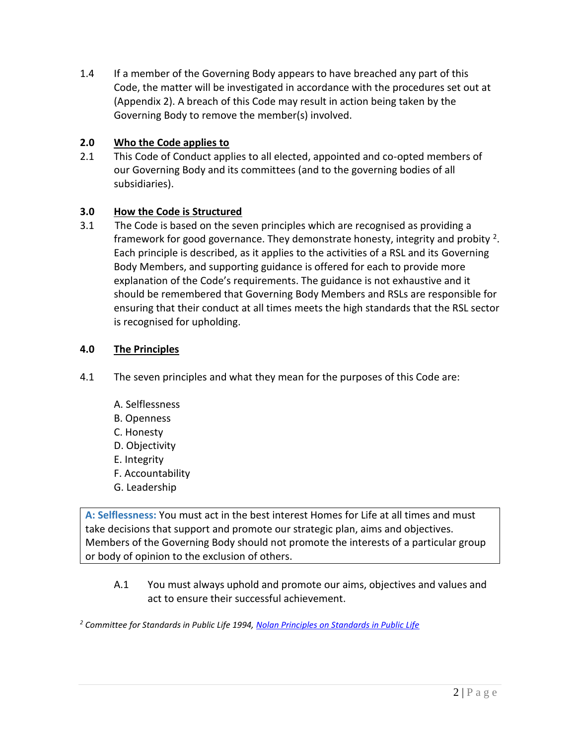1.4 If a member of the Governing Body appears to have breached any part of this Code, the matter will be investigated in accordance with the procedures set out at (Appendix 2). A breach of this Code may result in action being taken by the Governing Body to remove the member(s) involved.

# **2.0 Who the Code applies to**

2.1 This Code of Conduct applies to all elected, appointed and co-opted members of our Governing Body and its committees (and to the governing bodies of all subsidiaries).

# **3.0 How the Code is Structured**

3.1 The Code is based on the seven principles which are recognised as providing a framework for good governance. They demonstrate honesty, integrity and probity  $2$ . Each principle is described, as it applies to the activities of a RSL and its Governing Body Members, and supporting guidance is offered for each to provide more explanation of the Code's requirements. The guidance is not exhaustive and it should be remembered that Governing Body Members and RSLs are responsible for ensuring that their conduct at all times meets the high standards that the RSL sector is recognised for upholding.

# **4.0 The Principles**

- 4.1 The seven principles and what they mean for the purposes of this Code are:
	- A. Selflessness
	- B. Openness
	- C. Honesty
	- D. Objectivity
	- E. Integrity
	- F. Accountability
	- G. Leadership

**A: Selflessness:** You must act in the best interest Homes for Life at all times and must take decisions that support and promote our strategic plan, aims and objectives. Members of the Governing Body should not promote the interests of a particular group or body of opinion to the exclusion of others.

A.1 You must always uphold and promote our aims, objectives and values and act to ensure their successful achievement.

*<sup>2</sup> Committee for Standards in Public Life 1994, [Nolan Principles on Standards in Public Life](http://www2.le.ac.uk/offices/finance/staff/regulations/appendices/appendix-a-the-seven-principles-of-public-life-from-the-report-of-the-committee-for-standards-in-public-life-the-nolan-report)*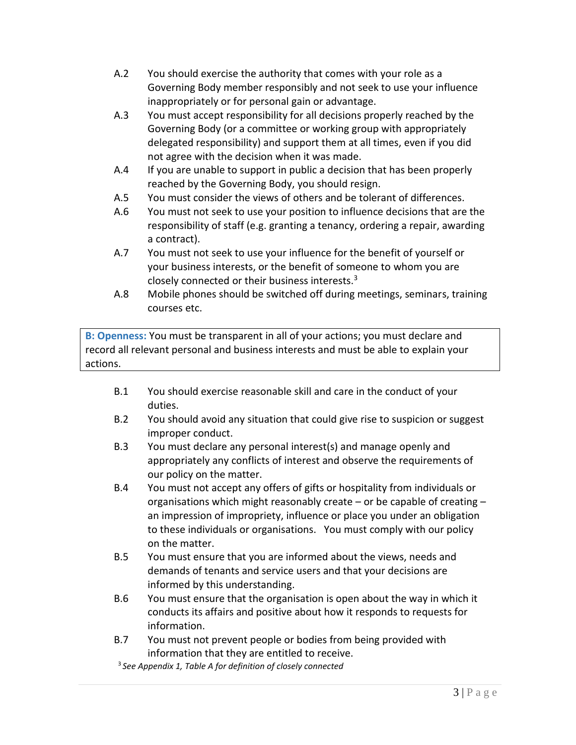- A.2 You should exercise the authority that comes with your role as a Governing Body member responsibly and not seek to use your influence inappropriately or for personal gain or advantage.
- A.3 You must accept responsibility for all decisions properly reached by the Governing Body (or a committee or working group with appropriately delegated responsibility) and support them at all times, even if you did not agree with the decision when it was made.
- A.4 If you are unable to support in public a decision that has been properly reached by the Governing Body, you should resign.
- A.5 You must consider the views of others and be tolerant of differences.
- A.6 You must not seek to use your position to influence decisions that are the responsibility of staff (e.g. granting a tenancy, ordering a repair, awarding a contract).
- A.7 You must not seek to use your influence for the benefit of yourself or your business interests, or the benefit of someone to whom you are closely connected or their business interests. $3$
- A.8 Mobile phones should be switched off during meetings, seminars, training courses etc.

**B: Openness:** You must be transparent in all of your actions; you must declare and record all relevant personal and business interests and must be able to explain your actions.

- B.1 You should exercise reasonable skill and care in the conduct of your duties.
- B.2 You should avoid any situation that could give rise to suspicion or suggest improper conduct.
- B.3 You must declare any personal interest(s) and manage openly and appropriately any conflicts of interest and observe the requirements of our policy on the matter.
- B.4 You must not accept any offers of gifts or hospitality from individuals or organisations which might reasonably create – or be capable of creating – an impression of impropriety, influence or place you under an obligation to these individuals or organisations. You must comply with our policy on the matter.
- B.5 You must ensure that you are informed about the views, needs and demands of tenants and service users and that your decisions are informed by this understanding.
- B.6 You must ensure that the organisation is open about the way in which it conducts its affairs and positive about how it responds to requests for information.
- B.7 You must not prevent people or bodies from being provided with information that they are entitled to receive.
- 3 *See Appendix 1, Table A for definition of closely connected*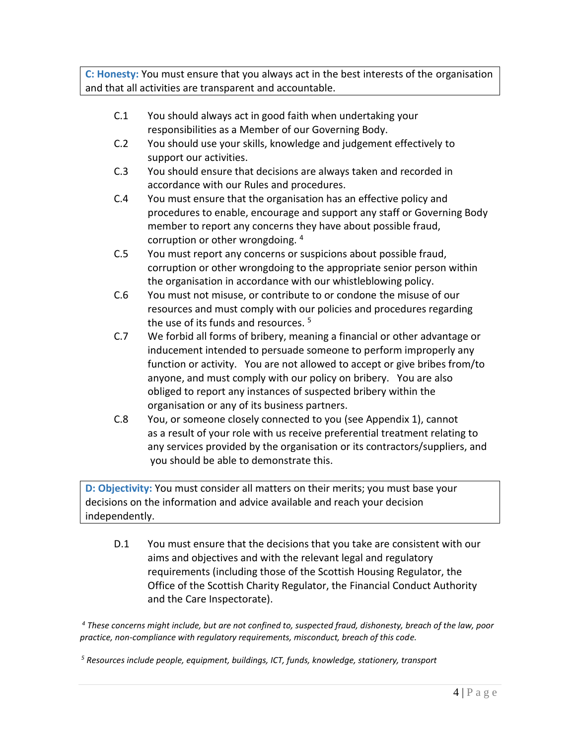**C: Honesty:** You must ensure that you always act in the best interests of the organisation and that all activities are transparent and accountable.

- C.1 You should always act in good faith when undertaking your responsibilities as a Member of our Governing Body.
- C.2 You should use your skills, knowledge and judgement effectively to support our activities.
- C.3 You should ensure that decisions are always taken and recorded in accordance with our Rules and procedures.
- C.4 You must ensure that the organisation has an effective policy and procedures to enable, encourage and support any staff or Governing Body member to report any concerns they have about possible fraud, corruption or other wrongdoing. <sup>4</sup>
- C.5 You must report any concerns or suspicions about possible fraud, corruption or other wrongdoing to the appropriate senior person within the organisation in accordance with our whistleblowing policy.
- C.6 You must not misuse, or contribute to or condone the misuse of our resources and must comply with our policies and procedures regarding the use of its funds and resources.<sup>5</sup>
- C.7 We forbid all forms of bribery, meaning a financial or other advantage or inducement intended to persuade someone to perform improperly any function or activity. You are not allowed to accept or give bribes from/to anyone, and must comply with our policy on bribery. You are also obliged to report any instances of suspected bribery within the organisation or any of its business partners.
- C.8 You, or someone closely connected to you (see Appendix 1), cannot as a result of your role with us receive preferential treatment relating to any services provided by the organisation or its contractors/suppliers, and you should be able to demonstrate this.

**D: Objectivity:** You must consider all matters on their merits; you must base your decisions on the information and advice available and reach your decision independently.

D.1 You must ensure that the decisions that you take are consistent with our aims and objectives and with the relevant legal and regulatory requirements (including those of the Scottish Housing Regulator, the Office of the Scottish Charity Regulator, the Financial Conduct Authority and the Care Inspectorate).

*<sup>4</sup> These concerns might include, but are not confined to, suspected fraud, dishonesty, breach of the law, poor practice, non-compliance with regulatory requirements, misconduct, breach of this code.*

*<sup>5</sup> Resources include people, equipment, buildings, ICT, funds, knowledge, stationery, transport*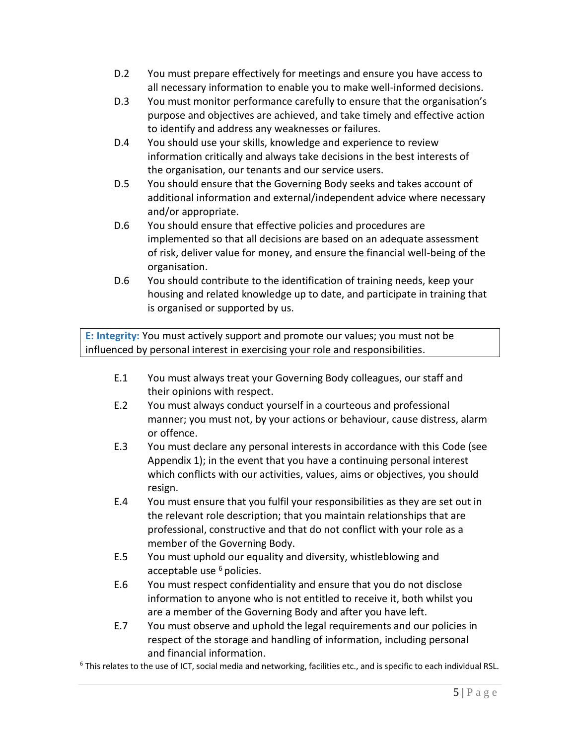- D.2 You must prepare effectively for meetings and ensure you have access to all necessary information to enable you to make well-informed decisions.
- D.3 You must monitor performance carefully to ensure that the organisation's purpose and objectives are achieved, and take timely and effective action to identify and address any weaknesses or failures.
- D.4 You should use your skills, knowledge and experience to review information critically and always take decisions in the best interests of the organisation, our tenants and our service users.
- D.5 You should ensure that the Governing Body seeks and takes account of additional information and external/independent advice where necessary and/or appropriate.
- D.6 You should ensure that effective policies and procedures are implemented so that all decisions are based on an adequate assessment of risk, deliver value for money, and ensure the financial well-being of the organisation.
- D.6 You should contribute to the identification of training needs, keep your housing and related knowledge up to date, and participate in training that is organised or supported by us.

**E: Integrity:** You must actively support and promote our values; you must not be influenced by personal interest in exercising your role and responsibilities.

- E.1 You must always treat your Governing Body colleagues, our staff and their opinions with respect.
- E.2 You must always conduct yourself in a courteous and professional manner; you must not, by your actions or behaviour, cause distress, alarm or offence.
- E.3 You must declare any personal interests in accordance with this Code (see Appendix 1); in the event that you have a continuing personal interest which conflicts with our activities, values, aims or objectives, you should resign.
- E.4 You must ensure that you fulfil your responsibilities as they are set out in the relevant role description; that you maintain relationships that are professional, constructive and that do not conflict with your role as a member of the Governing Body.
- E.5 You must uphold our equality and diversity, whistleblowing and acceptable use  $6$  policies.
- E.6 You must respect confidentiality and ensure that you do not disclose information to anyone who is not entitled to receive it, both whilst you are a member of the Governing Body and after you have left.
- E.7 You must observe and uphold the legal requirements and our policies in respect of the storage and handling of information, including personal and financial information.

<sup>6</sup> This relates to the use of ICT, social media and networking, facilities etc., and is specific to each individual RSL.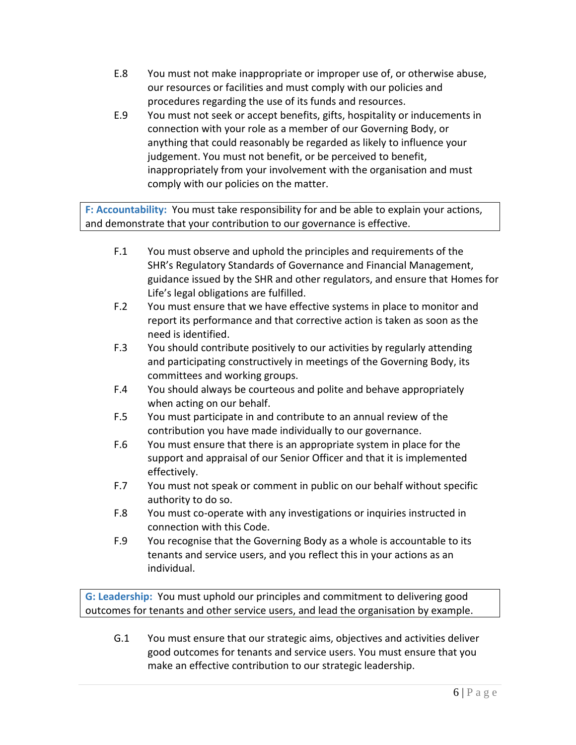- E.8 You must not make inappropriate or improper use of, or otherwise abuse, our resources or facilities and must comply with our policies and procedures regarding the use of its funds and resources.
- E.9 You must not seek or accept benefits, gifts, hospitality or inducements in connection with your role as a member of our Governing Body, or anything that could reasonably be regarded as likely to influence your judgement. You must not benefit, or be perceived to benefit, inappropriately from your involvement with the organisation and must comply with our policies on the matter.

**F: Accountability:** You must take responsibility for and be able to explain your actions, and demonstrate that your contribution to our governance is effective.

- F.1 You must observe and uphold the principles and requirements of the SHR's Regulatory Standards of Governance and Financial Management, guidance issued by the SHR and other regulators, and ensure that Homes for Life's legal obligations are fulfilled.
- F.2 You must ensure that we have effective systems in place to monitor and report its performance and that corrective action is taken as soon as the need is identified.
- F.3 You should contribute positively to our activities by regularly attending and participating constructively in meetings of the Governing Body, its committees and working groups.
- F.4 You should always be courteous and polite and behave appropriately when acting on our behalf.
- F.5 You must participate in and contribute to an annual review of the contribution you have made individually to our governance.
- F.6 You must ensure that there is an appropriate system in place for the support and appraisal of our Senior Officer and that it is implemented effectively.
- F.7 You must not speak or comment in public on our behalf without specific authority to do so.
- F.8 You must co-operate with any investigations or inquiries instructed in connection with this Code.
- F.9 You recognise that the Governing Body as a whole is accountable to its tenants and service users, and you reflect this in your actions as an individual.

**G: Leadership:** You must uphold our principles and commitment to delivering good outcomes for tenants and other service users, and lead the organisation by example.

G.1 You must ensure that our strategic aims, objectives and activities deliver good outcomes for tenants and service users. You must ensure that you make an effective contribution to our strategic leadership.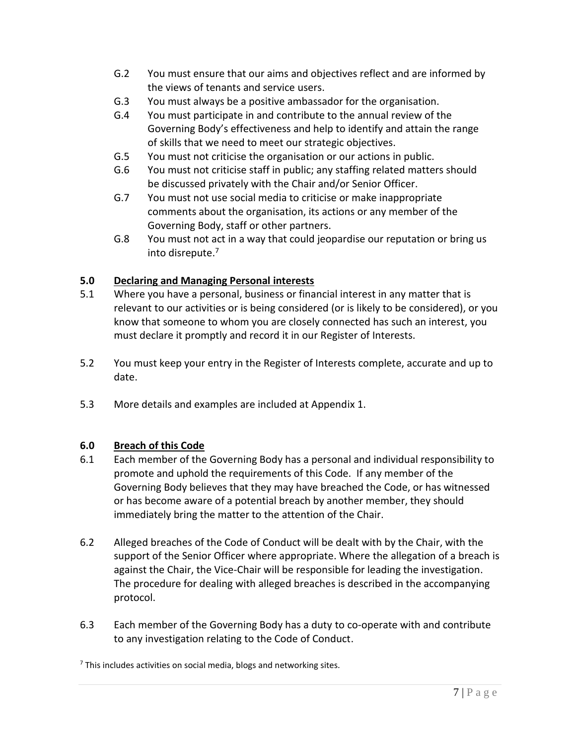- G.2 You must ensure that our aims and objectives reflect and are informed by the views of tenants and service users.
- G.3 You must always be a positive ambassador for the organisation.
- G.4 You must participate in and contribute to the annual review of the Governing Body's effectiveness and help to identify and attain the range of skills that we need to meet our strategic objectives.
- G.5 You must not criticise the organisation or our actions in public.
- G.6 You must not criticise staff in public; any staffing related matters should be discussed privately with the Chair and/or Senior Officer.
- G.7 You must not use social media to criticise or make inappropriate comments about the organisation, its actions or any member of the Governing Body, staff or other partners.
- G.8 You must not act in a way that could jeopardise our reputation or bring us into disrepute.<sup>7</sup>

# **5.0 Declaring and Managing Personal interests**

- 5.1 Where you have a personal, business or financial interest in any matter that is relevant to our activities or is being considered (or is likely to be considered), or you know that someone to whom you are closely connected has such an interest, you must declare it promptly and record it in our Register of Interests.
- 5.2 You must keep your entry in the Register of Interests complete, accurate and up to date.
- 5.3 More details and examples are included at Appendix 1.

## **6.0 Breach of this Code**

- 6.1 Each member of the Governing Body has a personal and individual responsibility to promote and uphold the requirements of this Code. If any member of the Governing Body believes that they may have breached the Code, or has witnessed or has become aware of a potential breach by another member, they should immediately bring the matter to the attention of the Chair.
- 6.2 Alleged breaches of the Code of Conduct will be dealt with by the Chair, with the support of the Senior Officer where appropriate. Where the allegation of a breach is against the Chair, the Vice-Chair will be responsible for leading the investigation. The procedure for dealing with alleged breaches is described in the accompanying protocol.
- 6.3 Each member of the Governing Body has a duty to co-operate with and contribute to any investigation relating to the Code of Conduct.

 $<sup>7</sup>$  This includes activities on social media, blogs and networking sites.</sup>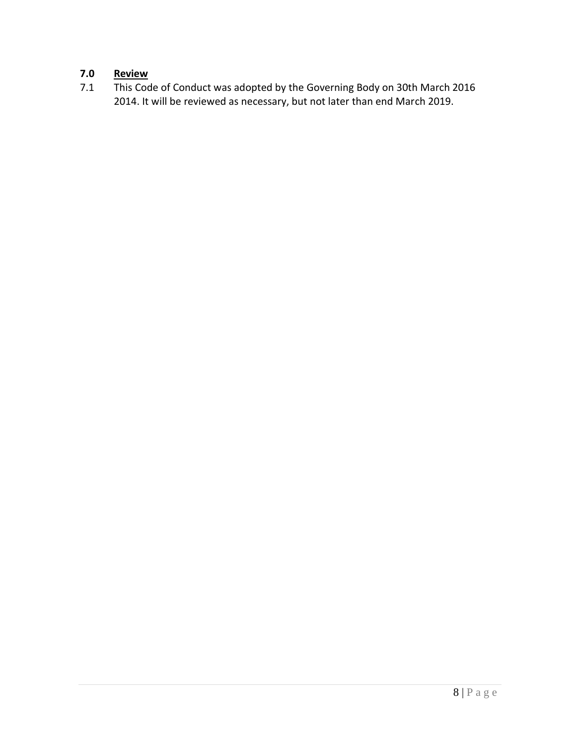# **7.0 Review**<br>**7.1 This Cod**

This Code of Conduct was adopted by the Governing Body on 30th March 2016 2014. It will be reviewed as necessary, but not later than end March 2019.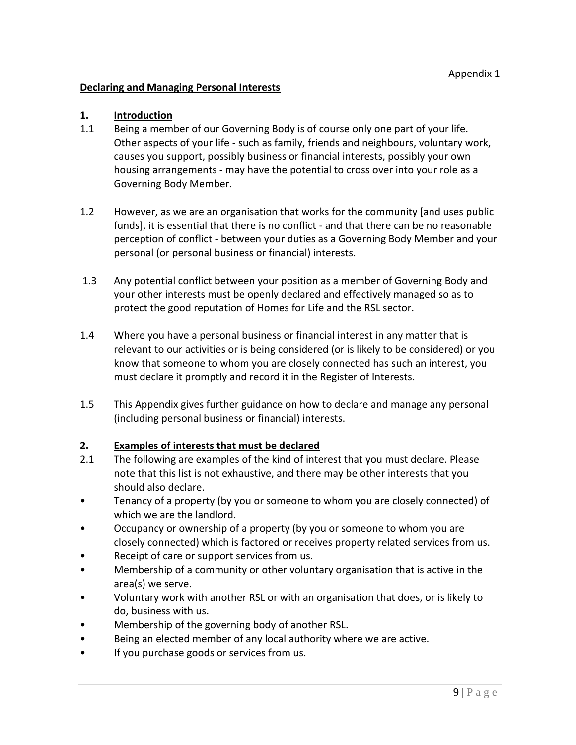#### **Declaring and Managing Personal Interests**

#### **1. Introduction**

- 1.1 Being a member of our Governing Body is of course only one part of your life. Other aspects of your life - such as family, friends and neighbours, voluntary work, causes you support, possibly business or financial interests, possibly your own housing arrangements - may have the potential to cross over into your role as a Governing Body Member.
- 1.2 However, as we are an organisation that works for the community [and uses public funds], it is essential that there is no conflict - and that there can be no reasonable perception of conflict - between your duties as a Governing Body Member and your personal (or personal business or financial) interests.
- 1.3 Any potential conflict between your position as a member of Governing Body and your other interests must be openly declared and effectively managed so as to protect the good reputation of Homes for Life and the RSL sector.
- 1.4 Where you have a personal business or financial interest in any matter that is relevant to our activities or is being considered (or is likely to be considered) or you know that someone to whom you are closely connected has such an interest, you must declare it promptly and record it in the Register of Interests.
- 1.5 This Appendix gives further guidance on how to declare and manage any personal (including personal business or financial) interests.

#### **2. Examples of interests that must be declared**

- 2.1 The following are examples of the kind of interest that you must declare. Please note that this list is not exhaustive, and there may be other interests that you should also declare.
- Tenancy of a property (by you or someone to whom you are closely connected) of which we are the landlord.
- Occupancy or ownership of a property (by you or someone to whom you are closely connected) which is factored or receives property related services from us.
- Receipt of care or support services from us.
- Membership of a community or other voluntary organisation that is active in the area(s) we serve.
- Voluntary work with another RSL or with an organisation that does, or is likely to do, business with us.
- Membership of the governing body of another RSL.
- Being an elected member of any local authority where we are active.
- If you purchase goods or services from us.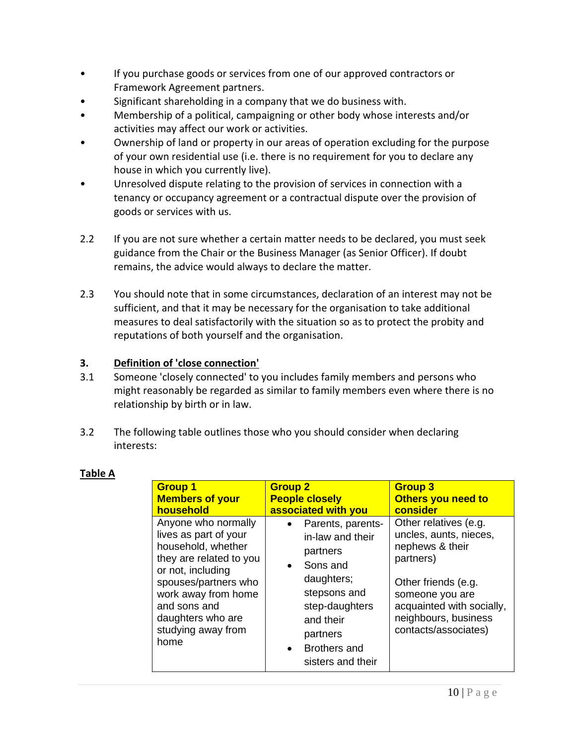- If you purchase goods or services from one of our approved contractors or Framework Agreement partners.
- Significant shareholding in a company that we do business with.
- Membership of a political, campaigning or other body whose interests and/or activities may affect our work or activities.
- Ownership of land or property in our areas of operation excluding for the purpose of your own residential use (i.e. there is no requirement for you to declare any house in which you currently live).
- Unresolved dispute relating to the provision of services in connection with a tenancy or occupancy agreement or a contractual dispute over the provision of goods or services with us.
- 2.2 If you are not sure whether a certain matter needs to be declared, you must seek guidance from the Chair or the Business Manager (as Senior Officer). If doubt remains, the advice would always to declare the matter.
- 2.3 You should note that in some circumstances, declaration of an interest may not be sufficient, and that it may be necessary for the organisation to take additional measures to deal satisfactorily with the situation so as to protect the probity and reputations of both yourself and the organisation.

## **3. Definition of 'close connection'**

- 3.1 Someone 'closely connected' to you includes family members and persons who might reasonably be regarded as similar to family members even where there is no relationship by birth or in law.
- 3.2 The following table outlines those who you should consider when declaring interests:

| ∍<br>D<br>Л<br>0<br>Ш<br>-<br>ı |  |
|---------------------------------|--|
|                                 |  |

| <b>Group 1</b>                                                                                                                                                                                                                       | <b>Group 2</b>                                                                                                                                                                                    | <b>Group 3</b>                                                                                                                                                                                         |
|--------------------------------------------------------------------------------------------------------------------------------------------------------------------------------------------------------------------------------------|---------------------------------------------------------------------------------------------------------------------------------------------------------------------------------------------------|--------------------------------------------------------------------------------------------------------------------------------------------------------------------------------------------------------|
| <b>Members of your</b>                                                                                                                                                                                                               | <b>People closely</b>                                                                                                                                                                             | Others you need to                                                                                                                                                                                     |
| household                                                                                                                                                                                                                            | associated with you                                                                                                                                                                               | consider                                                                                                                                                                                               |
| Anyone who normally<br>lives as part of your<br>household, whether<br>they are related to you<br>or not, including<br>spouses/partners who<br>work away from home<br>and sons and<br>daughters who are<br>studying away from<br>home | Parents, parents-<br>in-law and their<br>partners<br>• Sons and<br>daughters;<br>stepsons and<br>step-daughters<br>and their<br>partners<br><b>Brothers and</b><br>$\bullet$<br>sisters and their | Other relatives (e.g.<br>uncles, aunts, nieces,<br>nephews & their<br>partners)<br>Other friends (e.g.<br>someone you are<br>acquainted with socially,<br>neighbours, business<br>contacts/associates) |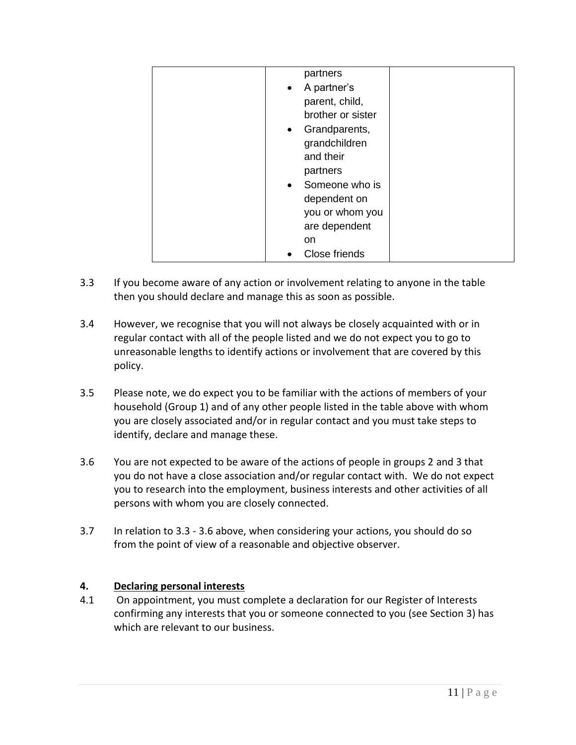| partners                 |  |
|--------------------------|--|
| A partner's<br>$\bullet$ |  |
| parent, child,           |  |
| brother or sister        |  |
| • Grandparents,          |  |
| grandchildren            |  |
| and their                |  |
| partners                 |  |
| • Someone who is         |  |
| dependent on             |  |
| you or whom you          |  |
| are dependent            |  |
| <sub>on</sub>            |  |
| Close friends            |  |

- 3.3 If you become aware of any action or involvement relating to anyone in the table then you should declare and manage this as soon as possible.
- 3.4 However, we recognise that you will not always be closely acquainted with or in regular contact with all of the people listed and we do not expect you to go to unreasonable lengths to identify actions or involvement that are covered by this policy.
- 3.5 Please note, we do expect you to be familiar with the actions of members of your household (Group 1) and of any other people listed in the table above with whom you are closely associated and/or in regular contact and you must take steps to identify, declare and manage these.
- 3.6 You are not expected to be aware of the actions of people in groups 2 and 3 that you do not have a close association and/or regular contact with. We do not expect you to research into the employment, business interests and other activities of all persons with whom you are closely connected.
- 3.7 In relation to 3.3 3.6 above, when considering your actions, you should do so from the point of view of a reasonable and objective observer.

#### **4. Declaring personal interests**

4.1 On appointment, you must complete a declaration for our Register of Interests confirming any interests that you or someone connected to you (see Section 3) has which are relevant to our business.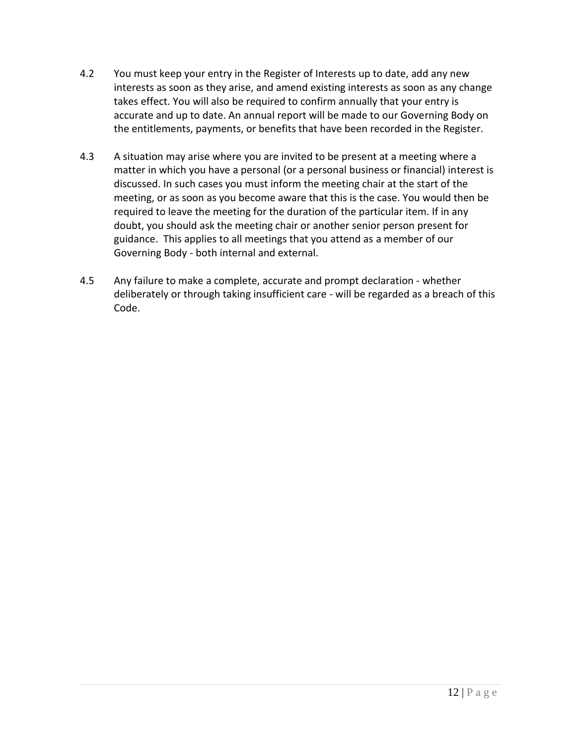- 4.2 You must keep your entry in the Register of Interests up to date, add any new interests as soon as they arise, and amend existing interests as soon as any change takes effect. You will also be required to confirm annually that your entry is accurate and up to date. An annual report will be made to our Governing Body on the entitlements, payments, or benefits that have been recorded in the Register.
- 4.3 A situation may arise where you are invited to be present at a meeting where a matter in which you have a personal (or a personal business or financial) interest is discussed. In such cases you must inform the meeting chair at the start of the meeting, or as soon as you become aware that this is the case. You would then be required to leave the meeting for the duration of the particular item. If in any doubt, you should ask the meeting chair or another senior person present for guidance. This applies to all meetings that you attend as a member of our Governing Body - both internal and external.
- 4.5 Any failure to make a complete, accurate and prompt declaration whether deliberately or through taking insufficient care - will be regarded as a breach of this Code.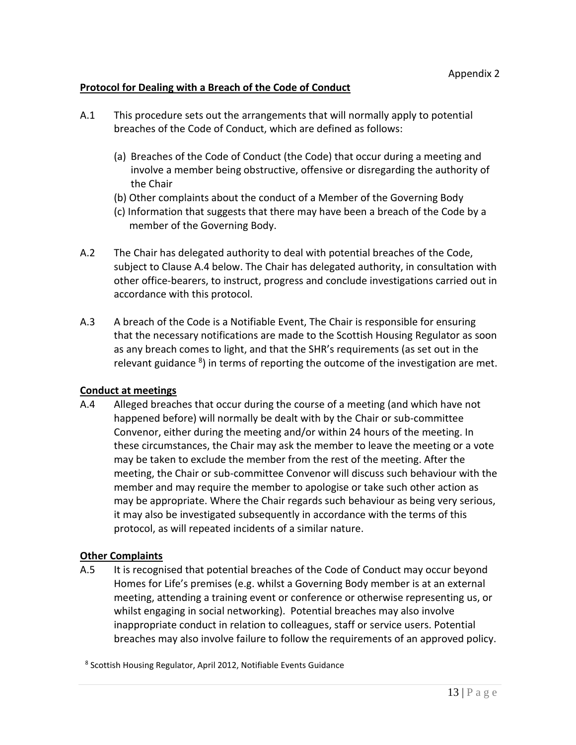#### **Protocol for Dealing with a Breach of the Code of Conduct**

- A.1 This procedure sets out the arrangements that will normally apply to potential breaches of the Code of Conduct, which are defined as follows:
	- (a) Breaches of the Code of Conduct (the Code) that occur during a meeting and involve a member being obstructive, offensive or disregarding the authority of the Chair
	- (b) Other complaints about the conduct of a Member of the Governing Body
	- (c) Information that suggests that there may have been a breach of the Code by a member of the Governing Body.
- A.2 The Chair has delegated authority to deal with potential breaches of the Code, subject to Clause A.4 below. The Chair has delegated authority, in consultation with other office-bearers, to instruct, progress and conclude investigations carried out in accordance with this protocol.
- A.3 A breach of the Code is a Notifiable Event, The Chair is responsible for ensuring that the necessary notifications are made to the Scottish Housing Regulator as soon as any breach comes to light, and that the SHR's requirements (as set out in the relevant guidance <sup>8</sup>) in terms of reporting the outcome of the investigation are met.

#### **Conduct at meetings**

A.4 Alleged breaches that occur during the course of a meeting (and which have not happened before) will normally be dealt with by the Chair or sub-committee Convenor, either during the meeting and/or within 24 hours of the meeting. In these circumstances, the Chair may ask the member to leave the meeting or a vote may be taken to exclude the member from the rest of the meeting. After the meeting, the Chair or sub-committee Convenor will discuss such behaviour with the member and may require the member to apologise or take such other action as may be appropriate. Where the Chair regards such behaviour as being very serious, it may also be investigated subsequently in accordance with the terms of this protocol, as will repeated incidents of a similar nature.

#### **Other Complaints**

A.5 It is recognised that potential breaches of the Code of Conduct may occur beyond Homes for Life's premises (e.g. whilst a Governing Body member is at an external meeting, attending a training event or conference or otherwise representing us, or whilst engaging in social networking). Potential breaches may also involve inappropriate conduct in relation to colleagues, staff or service users. Potential breaches may also involve failure to follow the requirements of an approved policy.

8 Scottish Housing Regulator, April 2012, Notifiable Events Guidance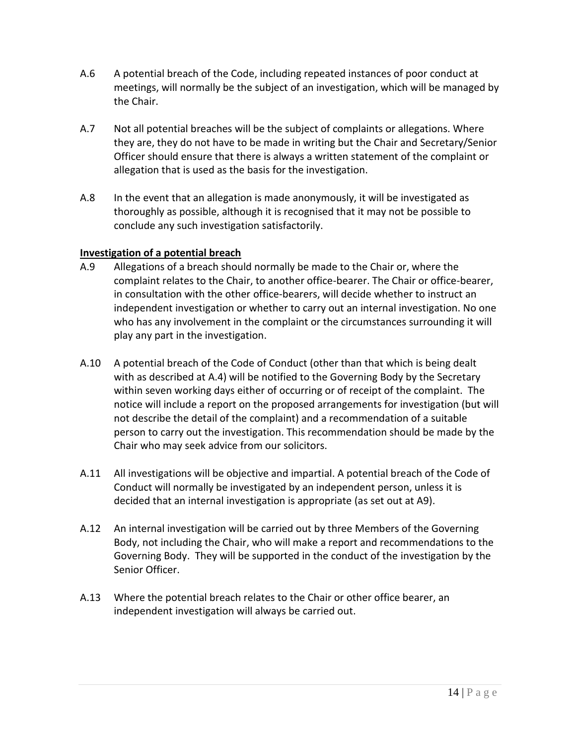- A.6 A potential breach of the Code, including repeated instances of poor conduct at meetings, will normally be the subject of an investigation, which will be managed by the Chair.
- A.7 Not all potential breaches will be the subject of complaints or allegations. Where they are, they do not have to be made in writing but the Chair and Secretary/Senior Officer should ensure that there is always a written statement of the complaint or allegation that is used as the basis for the investigation.
- A.8 In the event that an allegation is made anonymously, it will be investigated as thoroughly as possible, although it is recognised that it may not be possible to conclude any such investigation satisfactorily.

## **Investigation of a potential breach**

- A.9 Allegations of a breach should normally be made to the Chair or, where the complaint relates to the Chair, to another office-bearer. The Chair or office-bearer, in consultation with the other office-bearers, will decide whether to instruct an independent investigation or whether to carry out an internal investigation. No one who has any involvement in the complaint or the circumstances surrounding it will play any part in the investigation.
- A.10 A potential breach of the Code of Conduct (other than that which is being dealt with as described at A.4) will be notified to the Governing Body by the Secretary within seven working days either of occurring or of receipt of the complaint. The notice will include a report on the proposed arrangements for investigation (but will not describe the detail of the complaint) and a recommendation of a suitable person to carry out the investigation. This recommendation should be made by the Chair who may seek advice from our solicitors.
- A.11 All investigations will be objective and impartial. A potential breach of the Code of Conduct will normally be investigated by an independent person, unless it is decided that an internal investigation is appropriate (as set out at A9).
- A.12 An internal investigation will be carried out by three Members of the Governing Body, not including the Chair, who will make a report and recommendations to the Governing Body. They will be supported in the conduct of the investigation by the Senior Officer.
- A.13 Where the potential breach relates to the Chair or other office bearer, an independent investigation will always be carried out.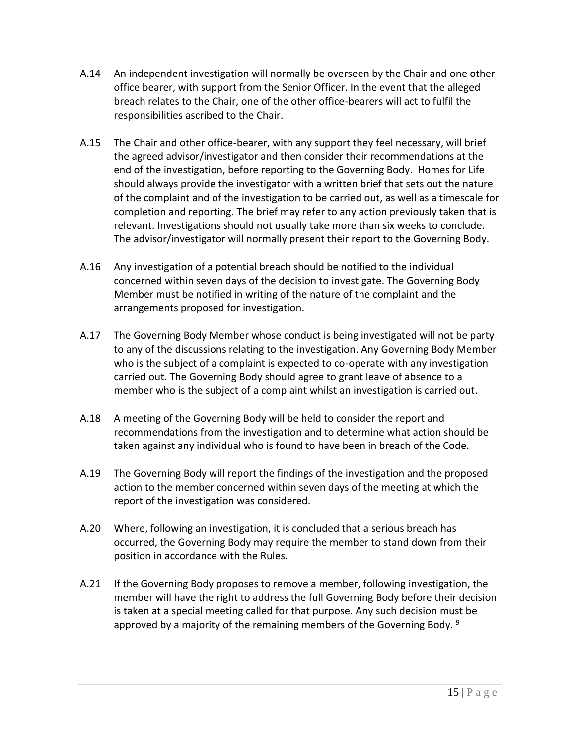- A.14 An independent investigation will normally be overseen by the Chair and one other office bearer, with support from the Senior Officer. In the event that the alleged breach relates to the Chair, one of the other office-bearers will act to fulfil the responsibilities ascribed to the Chair.
- A.15 The Chair and other office-bearer, with any support they feel necessary, will brief the agreed advisor/investigator and then consider their recommendations at the end of the investigation, before reporting to the Governing Body. Homes for Life should always provide the investigator with a written brief that sets out the nature of the complaint and of the investigation to be carried out, as well as a timescale for completion and reporting. The brief may refer to any action previously taken that is relevant. Investigations should not usually take more than six weeks to conclude. The advisor/investigator will normally present their report to the Governing Body.
- A.16 Any investigation of a potential breach should be notified to the individual concerned within seven days of the decision to investigate. The Governing Body Member must be notified in writing of the nature of the complaint and the arrangements proposed for investigation.
- A.17 The Governing Body Member whose conduct is being investigated will not be party to any of the discussions relating to the investigation. Any Governing Body Member who is the subject of a complaint is expected to co-operate with any investigation carried out. The Governing Body should agree to grant leave of absence to a member who is the subject of a complaint whilst an investigation is carried out.
- A.18 A meeting of the Governing Body will be held to consider the report and recommendations from the investigation and to determine what action should be taken against any individual who is found to have been in breach of the Code.
- A.19 The Governing Body will report the findings of the investigation and the proposed action to the member concerned within seven days of the meeting at which the report of the investigation was considered.
- A.20 Where, following an investigation, it is concluded that a serious breach has occurred, the Governing Body may require the member to stand down from their position in accordance with the Rules.
- A.21 If the Governing Body proposes to remove a member, following investigation, the member will have the right to address the full Governing Body before their decision is taken at a special meeting called for that purpose. Any such decision must be approved by a majority of the remaining members of the Governing Body. <sup>9</sup>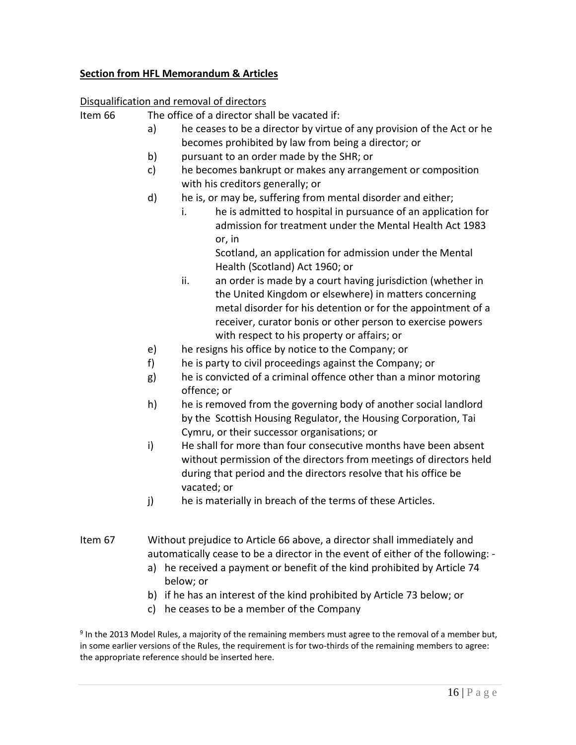#### **Section from HFL Memorandum & Articles**

#### Disqualification and removal of directors

Item 66 The office of a director shall be vacated if:

- a) he ceases to be a director by virtue of any provision of the Act or he becomes prohibited by law from being a director; or
- b) pursuant to an order made by the SHR; or
- c) he becomes bankrupt or makes any arrangement or composition with his creditors generally; or
- d) he is, or may be, suffering from mental disorder and either;
	- i. he is admitted to hospital in pursuance of an application for admission for treatment under the Mental Health Act 1983 or, in

Scotland, an application for admission under the Mental Health (Scotland) Act 1960; or

- ii. an order is made by a court having jurisdiction (whether in the United Kingdom or elsewhere) in matters concerning metal disorder for his detention or for the appointment of a receiver, curator bonis or other person to exercise powers with respect to his property or affairs; or
- e) he resigns his office by notice to the Company; or
- f) he is party to civil proceedings against the Company; or
- g) he is convicted of a criminal offence other than a minor motoring offence; or
- h) he is removed from the governing body of another social landlord by the Scottish Housing Regulator, the Housing Corporation, Tai Cymru, or their successor organisations; or
- i) He shall for more than four consecutive months have been absent without permission of the directors from meetings of directors held during that period and the directors resolve that his office be vacated; or
- j) he is materially in breach of the terms of these Articles.
- Item 67 Without prejudice to Article 66 above, a director shall immediately and automatically cease to be a director in the event of either of the following:
	- a) he received a payment or benefit of the kind prohibited by Article 74 below; or
	- b) if he has an interest of the kind prohibited by Article 73 below; or
	- c) he ceases to be a member of the Company

<sup>9</sup> In the 2013 Model Rules, a majority of the remaining members must agree to the removal of a member but, in some earlier versions of the Rules, the requirement is for two-thirds of the remaining members to agree: the appropriate reference should be inserted here.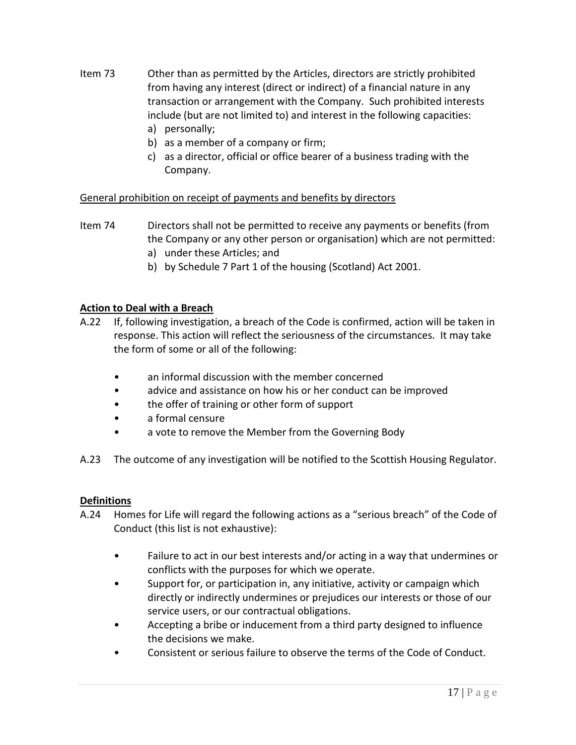- Item 73 Other than as permitted by the Articles, directors are strictly prohibited from having any interest (direct or indirect) of a financial nature in any transaction or arrangement with the Company. Such prohibited interests include (but are not limited to) and interest in the following capacities: a) personally;
	- b) as a member of a company or firm;
	- c) as a director, official or office bearer of a business trading with the Company.

#### General prohibition on receipt of payments and benefits by directors

- Item 74 Directors shall not be permitted to receive any payments or benefits (from the Company or any other person or organisation) which are not permitted:
	- a) under these Articles; and
	- b) by Schedule 7 Part 1 of the housing (Scotland) Act 2001.

#### **Action to Deal with a Breach**

- A.22 If, following investigation, a breach of the Code is confirmed, action will be taken in response. This action will reflect the seriousness of the circumstances. It may take the form of some or all of the following:
	- an informal discussion with the member concerned
	- advice and assistance on how his or her conduct can be improved
	- the offer of training or other form of support
	- a formal censure
	- a vote to remove the Member from the Governing Body
- A.23 The outcome of any investigation will be notified to the Scottish Housing Regulator.

#### **Definitions**

- A.24 Homes for Life will regard the following actions as a "serious breach" of the Code of Conduct (this list is not exhaustive):
	- Failure to act in our best interests and/or acting in a way that undermines or conflicts with the purposes for which we operate.
	- Support for, or participation in, any initiative, activity or campaign which directly or indirectly undermines or prejudices our interests or those of our service users, or our contractual obligations.
	- Accepting a bribe or inducement from a third party designed to influence the decisions we make.
	- Consistent or serious failure to observe the terms of the Code of Conduct.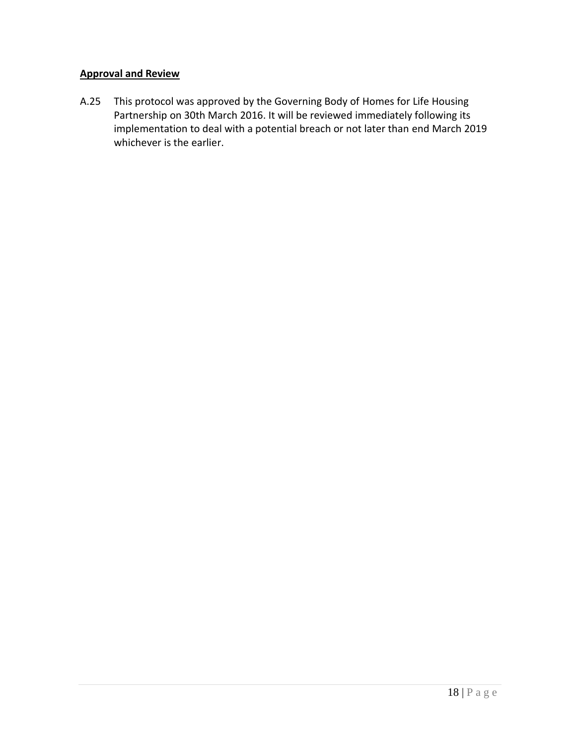## **Approval and Review**

A.25 This protocol was approved by the Governing Body of Homes for Life Housing Partnership on 30th March 2016. It will be reviewed immediately following its implementation to deal with a potential breach or not later than end March 2019 whichever is the earlier.